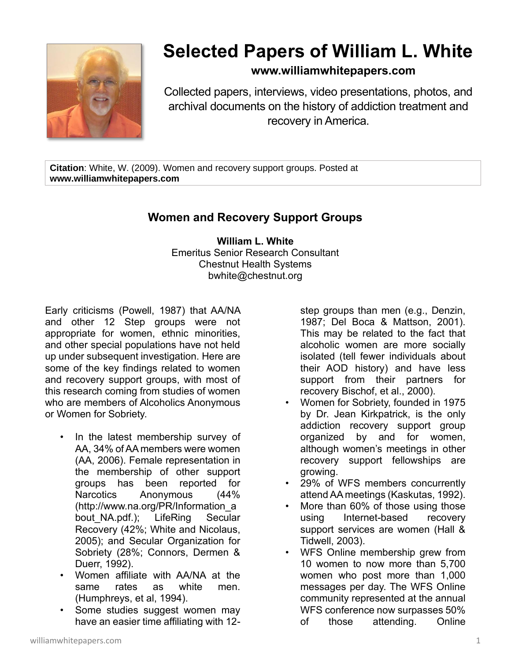

## **Selected Papers of William L. White**

## **www.williamwhitepapers.com**

Collected papers, interviews, video presentations, photos, and archival documents on the history of addiction treatment and recovery in America.

**Citation**: White, W. (2009). Women and recovery support groups. Posted at **www.williamwhitepapers.com**

## **Women and Recovery Support Groups**

**William L. White** Emeritus Senior Research Consultant Chestnut Health Systems bwhite@chestnut.org

Early criticisms (Powell, 1987) that AA/NA and other 12 Step groups were not appropriate for women, ethnic minorities, and other special populations have not held up under subsequent investigation. Here are some of the key findings related to women and recovery support groups, with most of this research coming from studies of women who are members of Alcoholics Anonymous or Women for Sobriety.

- In the latest membership survey of AA, 34% of AA members were women (AA, 2006). Female representation in the membership of other support groups has been reported for Narcotics Anonymous (44% (http://www.na.org/PR/Information\_a bout NA.pdf.); LifeRing Secular Recovery (42%; White and Nicolaus, 2005); and Secular Organization for Sobriety (28%; Connors, Dermen & Duerr, 1992).
- Women affiliate with AA/NA at the same rates as white men. (Humphreys, et al, 1994).
- Some studies suggest women may have an easier time affiliating with 12-

step groups than men (e.g., Denzin, 1987; Del Boca & Mattson, 2001). This may be related to the fact that alcoholic women are more socially isolated (tell fewer individuals about their AOD history) and have less support from their partners for recovery Bischof, et al., 2000).

- Women for Sobriety, founded in 1975 by Dr. Jean Kirkpatrick, is the only addiction recovery support group organized by and for women, although women's meetings in other recovery support fellowships are growing.
- 29% of WFS members concurrently attend AA meetings (Kaskutas, 1992).
- More than 60% of those using those using Internet-based recovery support services are women (Hall & Tidwell, 2003).
- WFS Online membership grew from 10 women to now more than 5,700 women who post more than 1,000 messages per day. The WFS Online community represented at the annual WFS conference now surpasses 50% of those attending. Online